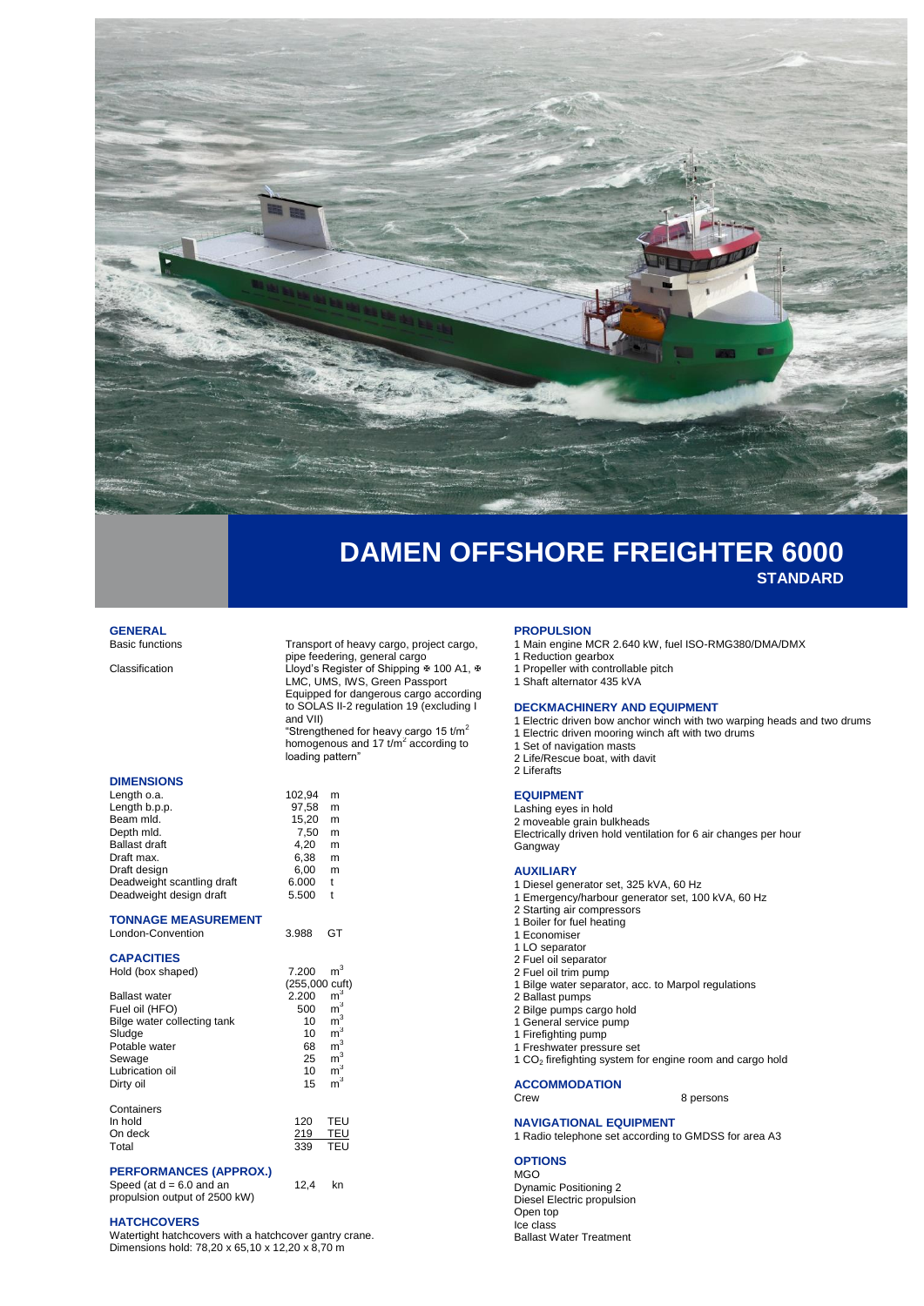

# **DAMEN OFFSHORE FREIGHTER 6000 STANDARD**

# **GENERAL**<br>Basic functions

**DIMENSIONS**

Transport of heavy cargo, project cargo, pipe feedering, general cargo Classification Classification Lloyd's Register of Shipping ∗ 100 A1, ∗ LMC, UMS, IWS, Green Passport Equipped for dangerous cargo according to SOLAS II-2 regulation 19 (excluding I and VII) "Strengthened for heavy cargo 15 t/m<sup>2</sup>

homogenous and 17  $t/m^2$  according to loading pattern"

 $15,20$  m  $7,50$  m<br>4,20 m  $4,20$  m<br>6,38 m  $6,38$  m<br> $6,00$  m 6,00 m<br>5.000 t  $6.000$ 

12,4 kn

| Length o.a.                | 102.94 | m |
|----------------------------|--------|---|
| Length b.p.p.              | 97.58  | m |
| Beam mld.                  | 15.20  | m |
| Depth mld.                 | 7.50   | m |
| <b>Ballast draft</b>       | 4.20   | m |
| Draft max.                 | 6.38   | m |
| Draft design               | 6.00   | m |
| Deadweight scantling draft | 6.000  | t |
| Deadweight design draft    | 5.500  | t |
|                            |        |   |

| <b>TONNAGE MEASUREMENT</b> |  |
|----------------------------|--|

| London-Convention | 3.988 GT |  |
|-------------------|----------|--|
|                   |          |  |

### **CAPACITIES**

|                             |                | $\mathsf{m}^3$ |
|-----------------------------|----------------|----------------|
| Hold (box shaped)           | 7.200          |                |
|                             | (255,000 cuft) |                |
| <b>Ballast water</b>        | 2.200          | m <sup>3</sup> |
| Fuel oil (HFO)              | 500            | m <sup>3</sup> |
| Bilge water collecting tank | 10             | m <sup>3</sup> |
| Sludge                      | 10             | $\mathsf{m}^3$ |
| Potable water               | 68             | $\mathsf{m}^3$ |
| Sewage                      | 25             | m <sup>3</sup> |
| Lubrication oil             | 10             | m <sup>3</sup> |
| Dirty oil                   | 15             | m <sup>3</sup> |
| Containers                  |                |                |
| In hold                     | 120            | TEU            |
| On deck                     | 219            | TEU            |
| Total                       | 339            | <b>TEU</b>     |
|                             |                |                |

#### **PERFORMANCES (APPROX.)** Speed (at  $d = 6.0$  and an

propulsion output of 2500 kW)

### **HATCHCOVERS**

Watertight hatchcovers with a hatchcover gantry crane. Dimensions hold: 78,20 x 65,10 x 12,20 x 8,70 m

#### **PROPULSION**

- 1 Main engine MCR 2.640 kW, fuel ISO-RMG380/DMA/DMX
- 1 Reduction gearbox
- 1 Propeller with controllable pitch 1 Shaft alternator 435 kVA

#### **DECKMACHINERY AND EQUIPMENT**

- 1 Electric driven bow anchor winch with two warping heads and two drums
- 1 Electric driven mooring winch aft with two drums
- 1 Set of navigation masts
- 2 Life/Rescue boat, with davit 2 Liferafts

#### **EQUIPMENT**

Lashing eyes in hold

2 moveable grain bulkheads Electrically driven hold ventilation for 6 air changes per hour **Gangway** 

## **AUXILIARY**

- 1 Diesel generator set, 325 kVA, 60 Hz
- 1 Emergency/harbour generator set, 100 kVA, 60 Hz
- 2 Starting air compressors
- 1 Boiler for fuel heating
- 1 Economiser
- 1 LO separator
- 2 Fuel oil separator 2 Fuel oil trim pump
- 1 Bilge water separator, acc. to Marpol regulations
- 2 Ballast pumps
- 2 Bilge pumps cargo hold
- 1 General service pump
- 1 Firefighting pump
- 1 Freshwater pressure set
- 1 CO<sup>2</sup> firefighting system for engine room and cargo hold

**ACCOMMODATION**

8 persons

## **NAVIGATIONAL EQUIPMENT**

### 1 Radio telephone set according to GMDSS for area A3

## **OPTIONS**

MGO Dynamic Positioning 2 Diesel Electric propulsion Open top Ice class Ballast Water Treatment